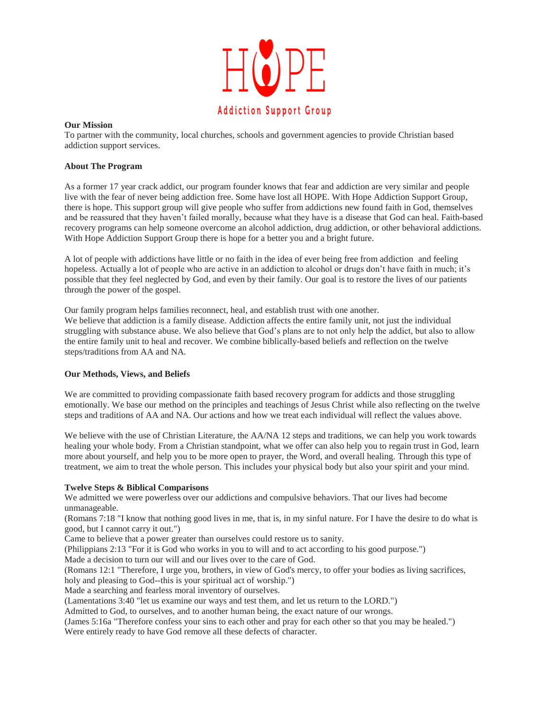

### **Our Mission**

To partner with the community, local churches, schools and government agencies to provide Christian based addiction support services.

### **About The Program**

As a former 17 year crack addict, our program founder knows that fear and addiction are very similar and people live with the fear of never being addiction free. Some have lost all HOPE. With Hope Addiction Support Group, there is hope. This support group will give people who suffer from addictions new found faith in God, themselves and be reassured that they haven't failed morally, because what they have is a disease that God can heal. Faith-based recovery programs can help someone overcome an alcohol addiction, drug addiction, or other behavioral addictions. With Hope Addiction Support Group there is hope for a better you and a bright future.

A lot of people with addictions have little or no faith in the idea of ever being free from addiction and feeling hopeless. Actually a lot of people who are active in an addiction to alcohol or drugs don't have faith in much; it's possible that they feel neglected by God, and even by their family. Our goal is to restore the lives of our patients through the power of the gospel.

Our family program helps families reconnect, heal, and establish trust with one another.

We believe that addiction is a family disease. Addiction affects the entire family unit, not just the individual struggling with substance abuse. We also believe that God's plans are to not only help the addict, but also to allow the entire family unit to heal and recover. We combine biblically-based beliefs and reflection on the twelve steps/traditions from AA and NA.

## **Our Methods, Views, and Beliefs**

We are committed to providing compassionate faith based recovery program for addicts and those struggling emotionally. We base our method on the principles and teachings of Jesus Christ while also reflecting on the twelve steps and traditions of AA and NA. Our actions and how we treat each individual will reflect the values above.

We believe with the use of Christian Literature, the AA/NA 12 steps and traditions, we can help you work towards healing your whole body. From a Christian standpoint, what we offer can also help you to regain trust in God, learn more about yourself, and help you to be more open to prayer, the Word, and overall healing. Through this type of treatment, we aim to treat the whole person. This includes your physical body but also your spirit and your mind.

### **Twelve Steps & Biblical Comparisons**

We admitted we were powerless over our addictions and compulsive behaviors. That our lives had become unmanageable.

(Romans 7:18 "I know that nothing good lives in me, that is, in my sinful nature. For I have the desire to do what is good, but I cannot carry it out.")

Came to believe that a power greater than ourselves could restore us to sanity.

(Philippians 2:13 "For it is God who works in you to will and to act according to his good purpose.")

Made a decision to turn our will and our lives over to the care of God.

(Romans 12:1 "Therefore, I urge you, brothers, in view of God's mercy, to offer your bodies as living sacrifices, holy and pleasing to God--this is your spiritual act of worship.")

Made a searching and fearless moral inventory of ourselves.

(Lamentations 3:40 "let us examine our ways and test them, and let us return to the LORD.")

Admitted to God, to ourselves, and to another human being, the exact nature of our wrongs.

(James 5:16a "Therefore confess your sins to each other and pray for each other so that you may be healed.") Were entirely ready to have God remove all these defects of character.